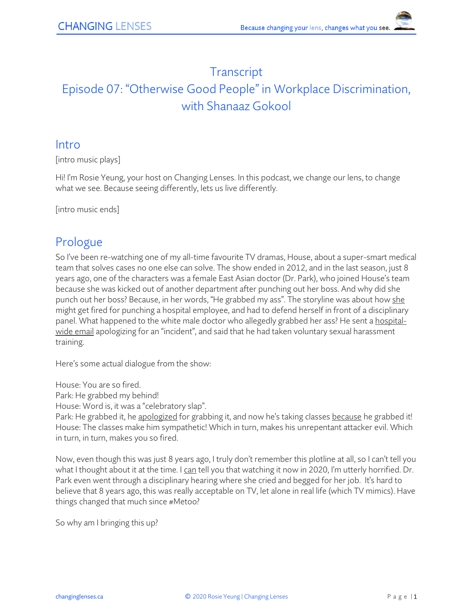## **Transcript** Episode 07: "Otherwise Good People" in Workplace Discrimination, with Shanaaz Gokool

#### Intro

[intro music plays]

Hi! I'm Rosie Yeung, your host on Changing Lenses. In this podcast, we change our lens, to change what we see. Because seeing differently, lets us live differently.

[intro music ends]

#### Prologue

So I've been re-watching one of my all-time favourite TV dramas, House, about a super-smart medical team that solves cases no one else can solve. The show ended in 2012, and in the last season, just 8 years ago, one of the characters was a female East Asian doctor (Dr. Park), who joined House's team because she was kicked out of another department after punching out her boss. And why did she punch out her boss? Because, in her words, "He grabbed my ass". The storyline was about how she might get fired for punching a hospital employee, and had to defend herself in front of a disciplinary panel. What happened to the white male doctor who allegedly grabbed her ass? He sent a hospitalwide email apologizing for an "incident", and said that he had taken voluntary sexual harassment training.

Here's some actual dialogue from the show:

House: You are so fired.

Park: He grabbed my behind!

House: Word is, it was a "celebratory slap".

Park: He grabbed it, he apologized for grabbing it, and now he's taking classes because he grabbed it! House: The classes make him sympathetic! Which in turn, makes his unrepentant attacker evil. Which in turn, in turn, makes you so fired.

Now, even though this was just 8 years ago, I truly don't remember this plotline at all, so I can't tell you what I thought about it at the time. I can tell you that watching it now in 2020, I'm utterly horrified. Dr. Park even went through a disciplinary hearing where she cried and begged for her job. It's hard to believe that 8 years ago, this was really acceptable on TV, let alone in real life (which TV mimics). Have things changed that much since #Metoo?

So why am I bringing this up?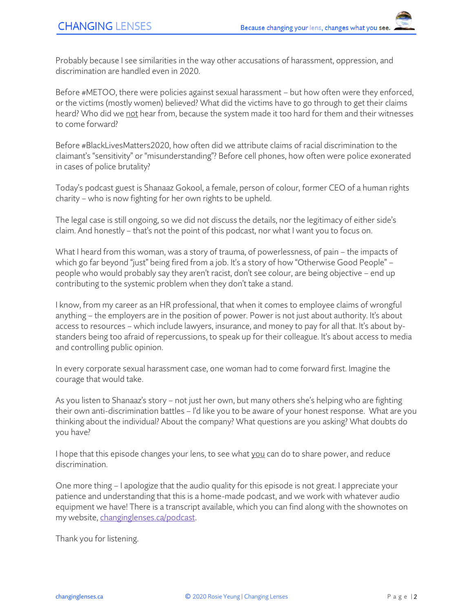Probably because I see similarities in the way other accusations of harassment, oppression, and discrimination are handled even in 2020.

Before #METOO, there were policies against sexual harassment – but how often were they enforced, or the victims (mostly women) believed? What did the victims have to go through to get their claims heard? Who did we not hear from, because the system made it too hard for them and their witnesses to come forward?

Before #BlackLivesMatters2020, how often did we attribute claims of racial discrimination to the claimant's "sensitivity" or "misunderstanding"? Before cell phones, how often were police exonerated in cases of police brutality?

Today's podcast guest is Shanaaz Gokool, a female, person of colour, former CEO of a human rights charity – who is now fighting for her own rights to be upheld.

The legal case is still ongoing, so we did not discuss the details, nor the legitimacy of either side's claim. And honestly – that's not the point of this podcast, nor what I want you to focus on.

What I heard from this woman, was a story of trauma, of powerlessness, of pain – the impacts of which go far beyond "just" being fired from a job. It's a story of how "Otherwise Good People" – people who would probably say they aren't racist, don't see colour, are being objective – end up contributing to the systemic problem when they don't take a stand.

I know, from my career as an HR professional, that when it comes to employee claims of wrongful anything – the employers are in the position of power. Power is not just about authority. It's about access to resources – which include lawyers, insurance, and money to pay for all that. It's about bystanders being too afraid of repercussions, to speak up for their colleague. It's about access to media and controlling public opinion.

In every corporate sexual harassment case, one woman had to come forward first. Imagine the courage that would take.

As you listen to Shanaaz's story – not just her own, but many others she's helping who are fighting their own anti-discrimination battles – I'd like you to be aware of your honest response. What are you thinking about the individual? About the company? What questions are you asking? What doubts do you have?

I hope that this episode changes your lens, to see what you can do to share power, and reduce discrimination.

One more thing – I apologize that the audio quality for this episode is not great. I appreciate your patience and understanding that this is a home-made podcast, and we work with whatever audio equipment we have! There is a transcript available, which you can find along with the shownotes on my website[, changinglenses.ca/podcast.](https://www.changinglenses.ca/podcast/)

Thank you for listening.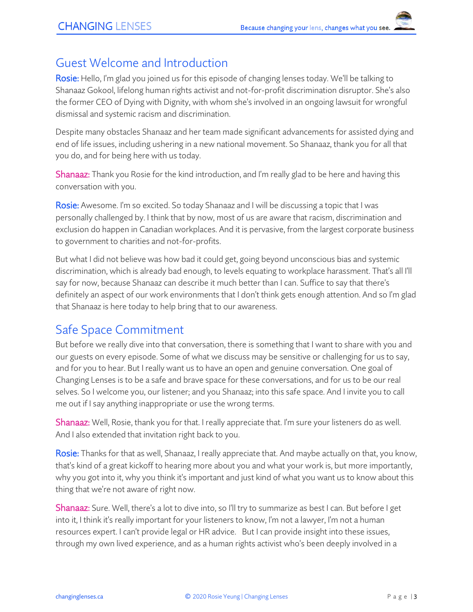#### Guest Welcome and Introduction

Rosie: Hello, I'm glad you joined us for this episode of changing lenses today. We'll be talking to Shanaaz Gokool, lifelong human rights activist and not-for-profit discrimination disruptor. She's also the former CEO of Dying with Dignity, with whom she's involved in an ongoing lawsuit for wrongful dismissal and systemic racism and discrimination.

Despite many obstacles Shanaaz and her team made significant advancements for assisted dying and end of life issues, including ushering in a new national movement. So Shanaaz, thank you for all that you do, and for being here with us today.

Shanaaz: Thank you Rosie for the kind introduction, and I'm really glad to be here and having this conversation with you.

Rosie: Awesome. I'm so excited. So today Shanaaz and I will be discussing a topic that I was personally challenged by. I think that by now, most of us are aware that racism, discrimination and exclusion do happen in Canadian workplaces. And it is pervasive, from the largest corporate business to government to charities and not-for-profits.

But what I did not believe was how bad it could get, going beyond unconscious bias and systemic discrimination, which is already bad enough, to levels equating to workplace harassment. That's all I'll say for now, because Shanaaz can describe it much better than I can. Suffice to say that there's definitely an aspect of our work environments that I don't think gets enough attention. And so I'm glad that Shanaaz is here today to help bring that to our awareness.

## Safe Space Commitment

But before we really dive into that conversation, there is something that I want to share with you and our guests on every episode. Some of what we discuss may be sensitive or challenging for us to say, and for you to hear. But I really want us to have an open and genuine conversation. One goal of Changing Lenses is to be a safe and brave space for these conversations, and for us to be our real selves. So I welcome you, our listener; and you Shanaaz; into this safe space. And I invite you to call me out if I say anything inappropriate or use the wrong terms.

Shanaaz: Well, Rosie, thank you for that. I really appreciate that. I'm sure your listeners do as well. And I also extended that invitation right back to you.

Rosie: Thanks for that as well, Shanaaz, I really appreciate that. And maybe actually on that, you know, that's kind of a great kickoff to hearing more about you and what your work is, but more importantly, why you got into it, why you think it's important and just kind of what you want us to know about this thing that we're not aware of right now.

Shanaaz: Sure. Well, there's a lot to dive into, so I'll try to summarize as best I can. But before I get into it, I think it's really important for your listeners to know, I'm not a lawyer, I'm not a human resources expert. I can't provide legal or HR advice. But I can provide insight into these issues, through my own lived experience, and as a human rights activist who's been deeply involved in a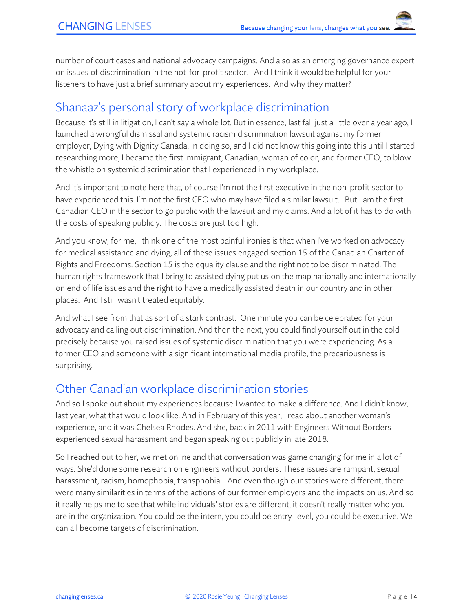number of court cases and national advocacy campaigns. And also as an emerging governance expert on issues of discrimination in the not-for-profit sector. And I think it would be helpful for your listeners to have just a brief summary about my experiences. And why they matter?

### Shanaaz's personal story of workplace discrimination

Because it's still in litigation, I can't say a whole lot. But in essence, last fall just a little over a year ago, I launched a wrongful dismissal and systemic racism discrimination lawsuit against my former employer, Dying with Dignity Canada. In doing so, and I did not know this going into this until I started researching more, I became the first immigrant, Canadian, woman of color, and former CEO, to blow the whistle on systemic discrimination that I experienced in my workplace.

And it's important to note here that, of course I'm not the first executive in the non-profit sector to have experienced this. I'm not the first CEO who may have filed a similar lawsuit. But I am the first Canadian CEO in the sector to go public with the lawsuit and my claims. And a lot of it has to do with the costs of speaking publicly. The costs are just too high.

And you know, for me, I think one of the most painful ironies is that when I've worked on advocacy for medical assistance and dying, all of these issues engaged section 15 of the Canadian Charter of Rights and Freedoms. Section 15 is the equality clause and the right not to be discriminated. The human rights framework that I bring to assisted dying put us on the map nationally and internationally on end of life issues and the right to have a medically assisted death in our country and in other places. And I still wasn't treated equitably.

And what I see from that as sort of a stark contrast. One minute you can be celebrated for your advocacy and calling out discrimination. And then the next, you could find yourself out in the cold precisely because you raised issues of systemic discrimination that you were experiencing. As a former CEO and someone with a significant international media profile, the precariousness is surprising.

## Other Canadian workplace discrimination stories

And so I spoke out about my experiences because I wanted to make a difference. And I didn't know, last year, what that would look like. And in February of this year, I read about another woman's experience, and it was Chelsea Rhodes. And she, back in 2011 with Engineers Without Borders experienced sexual harassment and began speaking out publicly in late 2018.

So I reached out to her, we met online and that conversation was game changing for me in a lot of ways. She'd done some research on engineers without borders. These issues are rampant, sexual harassment, racism, homophobia, transphobia. And even though our stories were different, there were many similarities in terms of the actions of our former employers and the impacts on us. And so it really helps me to see that while individuals' stories are different, it doesn't really matter who you are in the organization. You could be the intern, you could be entry-level, you could be executive. We can all become targets of discrimination.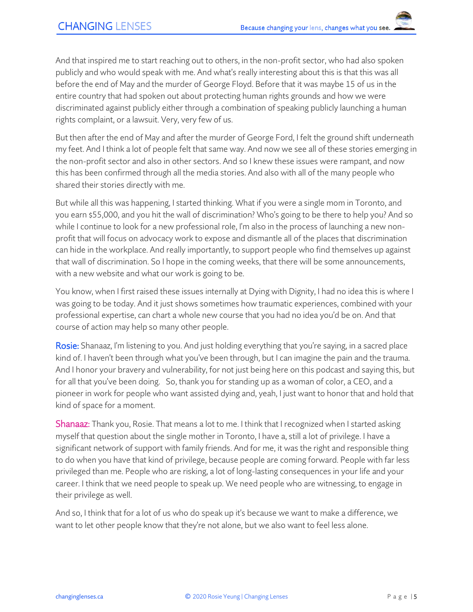And that inspired me to start reaching out to others, in the non-profit sector, who had also spoken publicly and who would speak with me. And what's really interesting about this is that this was all before the end of May and the murder of George Floyd. Before that it was maybe 15 of us in the entire country that had spoken out about protecting human rights grounds and how we were discriminated against publicly either through a combination of speaking publicly launching a human rights complaint, or a lawsuit. Very, very few of us.

But then after the end of May and after the murder of George Ford, I felt the ground shift underneath my feet. And I think a lot of people felt that same way. And now we see all of these stories emerging in the non-profit sector and also in other sectors. And so I knew these issues were rampant, and now this has been confirmed through all the media stories. And also with all of the many people who shared their stories directly with me.

But while all this was happening, I started thinking. What if you were a single mom in Toronto, and you earn \$55,000, and you hit the wall of discrimination? Who's going to be there to help you? And so while I continue to look for a new professional role, I'm also in the process of launching a new nonprofit that will focus on advocacy work to expose and dismantle all of the places that discrimination can hide in the workplace. And really importantly, to support people who find themselves up against that wall of discrimination. So I hope in the coming weeks, that there will be some announcements, with a new website and what our work is going to be.

You know, when I first raised these issues internally at Dying with Dignity, I had no idea this is where I was going to be today. And it just shows sometimes how traumatic experiences, combined with your professional expertise, can chart a whole new course that you had no idea you'd be on. And that course of action may help so many other people.

Rosie: Shanaaz, I'm listening to you. And just holding everything that you're saying, in a sacred place kind of. I haven't been through what you've been through, but I can imagine the pain and the trauma. And I honor your bravery and vulnerability, for not just being here on this podcast and saying this, but for all that you've been doing. So, thank you for standing up as a woman of color, a CEO, and a pioneer in work for people who want assisted dying and, yeah, I just want to honor that and hold that kind of space for a moment.

**Shanaaz:** Thank you, Rosie. That means a lot to me. I think that I recognized when I started asking myself that question about the single mother in Toronto, I have a, still a lot of privilege. I have a significant network of support with family friends. And for me, it was the right and responsible thing to do when you have that kind of privilege, because people are coming forward. People with far less privileged than me. People who are risking, a lot of long-lasting consequences in your life and your career. I think that we need people to speak up. We need people who are witnessing, to engage in their privilege as well.

And so, I think that for a lot of us who do speak up it's because we want to make a difference, we want to let other people know that they're not alone, but we also want to feel less alone.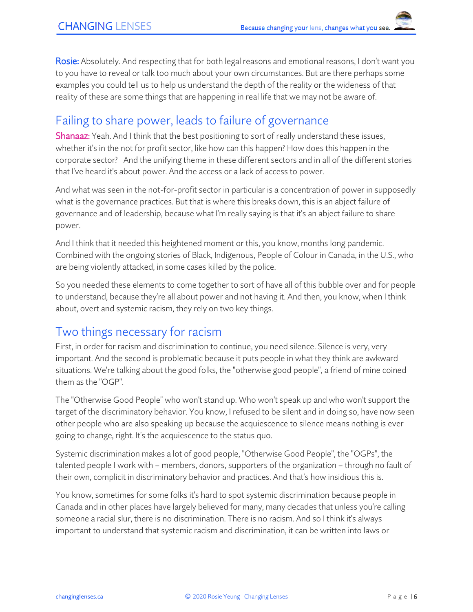Rosie: Absolutely. And respecting that for both legal reasons and emotional reasons, I don't want you to you have to reveal or talk too much about your own circumstances. But are there perhaps some examples you could tell us to help us understand the depth of the reality or the wideness of that reality of these are some things that are happening in real life that we may not be aware of.

## Failing to share power, leads to failure of governance

Shanaaz: Yeah. And I think that the best positioning to sort of really understand these issues, whether it's in the not for profit sector, like how can this happen? How does this happen in the corporate sector? And the unifying theme in these different sectors and in all of the different stories that I've heard it's about power. And the access or a lack of access to power.

And what was seen in the not-for-profit sector in particular is a concentration of power in supposedly what is the governance practices. But that is where this breaks down, this is an abject failure of governance and of leadership, because what I'm really saying is that it's an abject failure to share power.

And I think that it needed this heightened moment or this, you know, months long pandemic. Combined with the ongoing stories of Black, Indigenous, People of Colour in Canada, in the U.S., who are being violently attacked, in some cases killed by the police.

So you needed these elements to come together to sort of have all of this bubble over and for people to understand, because they're all about power and not having it. And then, you know, when I think about, overt and systemic racism, they rely on two key things.

### Two things necessary for racism

First, in order for racism and discrimination to continue, you need silence. Silence is very, very important. And the second is problematic because it puts people in what they think are awkward situations. We're talking about the good folks, the "otherwise good people", a friend of mine coined them as the "OGP".

The "Otherwise Good People" who won't stand up. Who won't speak up and who won't support the target of the discriminatory behavior. You know, I refused to be silent and in doing so, have now seen other people who are also speaking up because the acquiescence to silence means nothing is ever going to change, right. It's the acquiescence to the status quo.

Systemic discrimination makes a lot of good people, "Otherwise Good People", the "OGPs", the talented people I work with – members, donors, supporters of the organization – through no fault of their own, complicit in discriminatory behavior and practices. And that's how insidious this is.

You know, sometimes for some folks it's hard to spot systemic discrimination because people in Canada and in other places have largely believed for many, many decades that unless you're calling someone a racial slur, there is no discrimination. There is no racism. And so I think it's always important to understand that systemic racism and discrimination, it can be written into laws or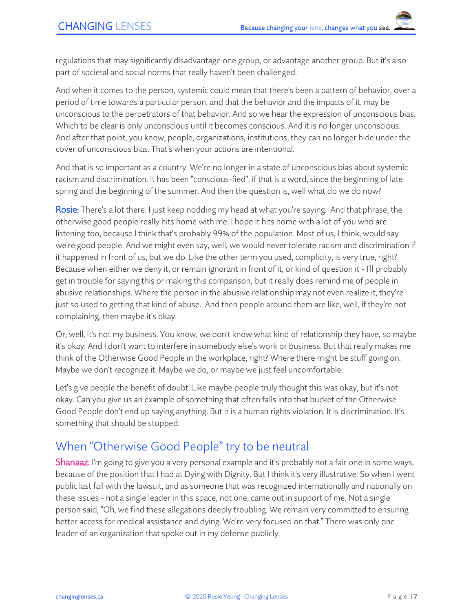regulations that may significantly disadvantage one group, or advantage another group. But it's also part of societal and social norms that really haven't been challenged.

And when it comes to the person, systemic could mean that there's been a pattern of behavior, over a period of time towards a particular person, and that the behavior and the impacts of it, may be unconscious to the perpetrators of that behavior. And so we hear the expression of unconscious bias. Which to be clear is only unconscious until it becomes conscious. And it is no longer unconscious. And after that point, you know, people, organizations, institutions, they can no longer hide under the cover of unconscious bias. That's when your actions are intentional.

And that is so important as a country. We're no longer in a state of unconscious bias about systemic racism and discrimination. It has been "conscious-fied", if that is a word, since the beginning of late spring and the beginning of the summer. And then the question is, well what do we do now?

Rosie: There's a lot there. I just keep nodding my head at what you're saying. And that phrase, the otherwise good people really hits home with me. I hope it hits home with a lot of you who are listening too, because I think that's probably 99% of the population. Most of us, I think, would say we're good people. And we might even say, well, we would never tolerate racism and discrimination if it happened in front of us, but we do. Like the other term you used, complicity, is very true, right? Because when either we deny it, or remain ignorant in front of it, or kind of question it - I'll probably get in trouble for saying this or making this comparison, but it really does remind me of people in abusive relationships. Where the person in the abusive relationship may not even realize it, they're just so used to getting that kind of abuse. And then people around them are like, well, if they're not complaining, then maybe it's okay.

Or, well, it's not my business. You know, we don't know what kind of relationship they have, so maybe it's okay. And I don't want to interfere in somebody else's work or business. But that really makes me think of the Otherwise Good People in the workplace, right? Where there might be stuff going on. Maybe we don't recognize it. Maybe we do, or maybe we just feel uncomfortable.

Let's give people the benefit of doubt. Like maybe people truly thought this was okay, but it's not okay. Can you give us an example of something that often falls into that bucket of the Otherwise Good People don't end up saying anything. But it is a human rights violation. It is discrimination. It's something that should be stopped.

### When "Otherwise Good People" try to be neutral

Shanaaz: I'm going to give you a very personal example and it's probably not a fair one in some ways, because of the position that I had at Dying with Dignity. But I think it's very illustrative. So when I went public last fall with the lawsuit, and as someone that was recognized internationally and nationally on these issues - not a single leader in this space, not one, came out in support of me. Not a single person said, "Oh, we find these allegations deeply troubling. We remain very committed to ensuring better access for medical assistance and dying. We're very focused on that." There was only one leader of an organization that spoke out in my defense publicly.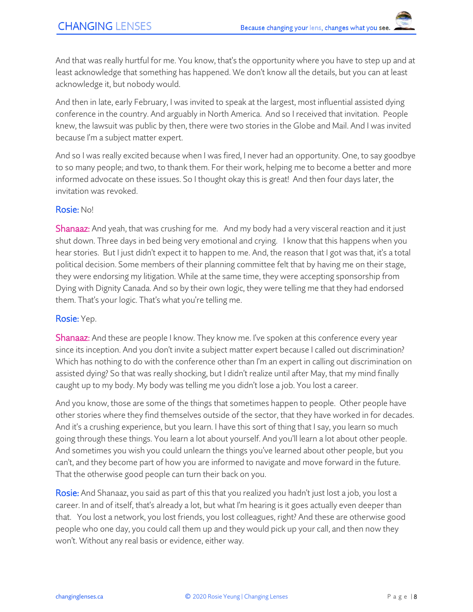And that was really hurtful for me. You know, that's the opportunity where you have to step up and at least acknowledge that something has happened. We don't know all the details, but you can at least acknowledge it, but nobody would.

And then in late, early February, I was invited to speak at the largest, most influential assisted dying conference in the country. And arguably in North America. And so I received that invitation. People knew, the lawsuit was public by then, there were two stories in the Globe and Mail. And I was invited because I'm a subject matter expert.

And so I was really excited because when I was fired, I never had an opportunity. One, to say goodbye to so many people; and two, to thank them. For their work, helping me to become a better and more informed advocate on these issues. So I thought okay this is great! And then four days later, the invitation was revoked.

#### Rosie: No!

Shanaaz: And yeah, that was crushing for me. And my body had a very visceral reaction and it just shut down. Three days in bed being very emotional and crying. I know that this happens when you hear stories. But I just didn't expect it to happen to me. And, the reason that I got was that, it's a total political decision. Some members of their planning committee felt that by having me on their stage, they were endorsing my litigation. While at the same time, they were accepting sponsorship from Dying with Dignity Canada. And so by their own logic, they were telling me that they had endorsed them. That's your logic. That's what you're telling me.

#### Rosie: Yep.

**Shanaaz:** And these are people I know. They know me. I've spoken at this conference every year since its inception. And you don't invite a subject matter expert because I called out discrimination? Which has nothing to do with the conference other than I'm an expert in calling out discrimination on assisted dying? So that was really shocking, but I didn't realize until after May, that my mind finally caught up to my body. My body was telling me you didn't lose a job. You lost a career.

And you know, those are some of the things that sometimes happen to people. Other people have other stories where they find themselves outside of the sector, that they have worked in for decades. And it's a crushing experience, but you learn. I have this sort of thing that I say, you learn so much going through these things. You learn a lot about yourself. And you'll learn a lot about other people. And sometimes you wish you could unlearn the things you've learned about other people, but you can't, and they become part of how you are informed to navigate and move forward in the future. That the otherwise good people can turn their back on you.

Rosie: And Shanaaz, you said as part of this that you realized you hadn't just lost a job, you lost a career. In and of itself, that's already a lot, but what I'm hearing is it goes actually even deeper than that. You lost a network, you lost friends, you lost colleagues, right? And these are otherwise good people who one day, you could call them up and they would pick up your call, and then now they won't. Without any real basis or evidence, either way.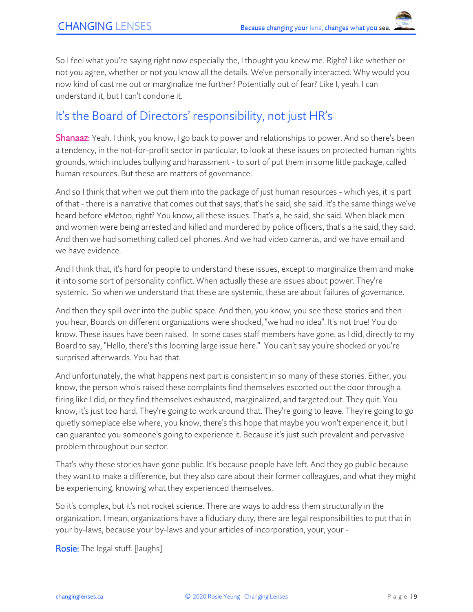So I feel what you're saying right now especially the, I thought you knew me. Right? Like whether or not you agree, whether or not you know all the details. We've personally interacted. Why would you now kind of cast me out or marginalize me further? Potentially out of fear? Like I, yeah. I can understand it, but I can't condone it.

#### It's the Board of Directors' responsibility, not just HR's

Shanaaz: Yeah. I think, you know, I go back to power and relationships to power. And so there's been a tendency, in the not-for-profit sector in particular, to look at these issues on protected human rights grounds, which includes bullying and harassment - to sort of put them in some little package, called human resources. But these are matters of governance.

And so I think that when we put them into the package of just human resources - which yes, it is part of that - there is a narrative that comes out that says, that's he said, she said. It's the same things we've heard before #Metoo, right? You know, all these issues. That's a, he said, she said. When black men and women were being arrested and killed and murdered by police officers, that's a he said, they said. And then we had something called cell phones. And we had video cameras, and we have email and we have evidence.

And I think that, it's hard for people to understand these issues, except to marginalize them and make it into some sort of personality conflict. When actually these are issues about power. They're systemic. So when we understand that these are systemic, these are about failures of governance.

And then they spill over into the public space. And then, you know, you see these stories and then you hear, Boards on different organizations were shocked, "we had no idea". It's not true! You do know. These issues have been raised. In some cases staff members have gone, as I did, directly to my Board to say, "Hello, there's this looming large issue here." You can't say you're shocked or you're surprised afterwards. You had that.

And unfortunately, the what happens next part is consistent in so many of these stories. Either, you know, the person who's raised these complaints find themselves escorted out the door through a firing like I did, or they find themselves exhausted, marginalized, and targeted out. They quit. You know, it's just too hard. They're going to work around that. They're going to leave. They're going to go quietly someplace else where, you know, there's this hope that maybe you won't experience it, but I can guarantee you someone's going to experience it. Because it's just such prevalent and pervasive problem throughout our sector.

That's why these stories have gone public. It's because people have left. And they go public because they want to make a difference, but they also care about their former colleagues, and what they might be experiencing, knowing what they experienced themselves.

So it's complex, but it's not rocket science. There are ways to address them structurally in the organization. I mean, organizations have a fiduciary duty, there are legal responsibilities to put that in your by-laws, because your by-laws and your articles of incorporation, your, your -

Rosie: The legal stuff. [laughs]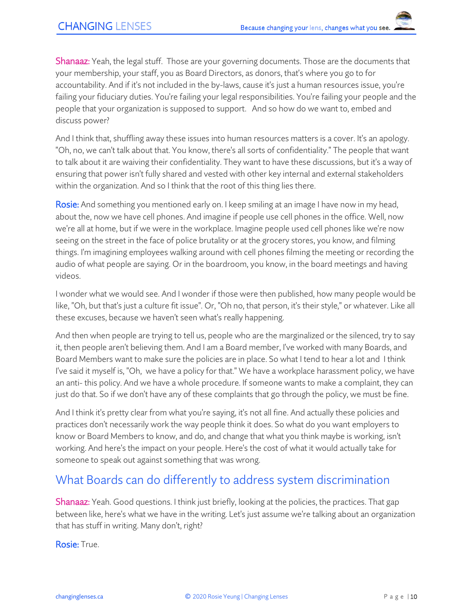Shanaaz: Yeah, the legal stuff. Those are your governing documents. Those are the documents that your membership, your staff, you as Board Directors, as donors, that's where you go to for accountability. And if it's not included in the by-laws, cause it's just a human resources issue, you're failing your fiduciary duties. You're failing your legal responsibilities. You're failing your people and the people that your organization is supposed to support. And so how do we want to, embed and discuss power?

And I think that, shuffling away these issues into human resources matters is a cover. It's an apology. "Oh, no, we can't talk about that. You know, there's all sorts of confidentiality." The people that want to talk about it are waiving their confidentiality. They want to have these discussions, but it's a way of ensuring that power isn't fully shared and vested with other key internal and external stakeholders within the organization. And so I think that the root of this thing lies there.

Rosie: And something you mentioned early on. I keep smiling at an image I have now in my head, about the, now we have cell phones. And imagine if people use cell phones in the office. Well, now we're all at home, but if we were in the workplace. Imagine people used cell phones like we're now seeing on the street in the face of police brutality or at the grocery stores, you know, and filming things. I'm imagining employees walking around with cell phones filming the meeting or recording the audio of what people are saying. Or in the boardroom, you know, in the board meetings and having videos.

I wonder what we would see. And I wonder if those were then published, how many people would be like, "Oh, but that's just a culture fit issue". Or, "Oh no, that person, it's their style," or whatever. Like all these excuses, because we haven't seen what's really happening.

And then when people are trying to tell us, people who are the marginalized or the silenced, try to say it, then people aren't believing them. And I am a Board member, I've worked with many Boards, and Board Members want to make sure the policies are in place. So what I tend to hear a lot and I think I've said it myself is, "Oh, we have a policy for that." We have a workplace harassment policy, we have an anti- this policy. And we have a whole procedure. If someone wants to make a complaint, they can just do that. So if we don't have any of these complaints that go through the policy, we must be fine.

And I think it's pretty clear from what you're saying, it's not all fine. And actually these policies and practices don't necessarily work the way people think it does. So what do you want employers to know or Board Members to know, and do, and change that what you think maybe is working, isn't working. And here's the impact on your people. Here's the cost of what it would actually take for someone to speak out against something that was wrong.

### What Boards can do differently to address system discrimination

Shanaaz: Yeah. Good questions. I think just briefly, looking at the policies, the practices. That gap between like, here's what we have in the writing. Let's just assume we're talking about an organization that has stuff in writing. Many don't, right?

Rosie: True.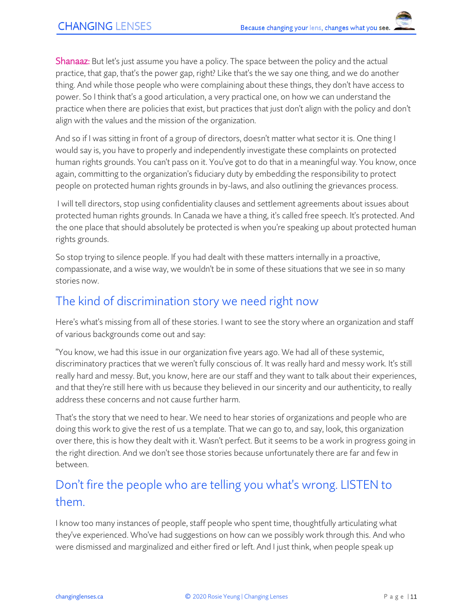Shanaaz: But let's just assume you have a policy. The space between the policy and the actual practice, that gap, that's the power gap, right? Like that's the we say one thing, and we do another thing. And while those people who were complaining about these things, they don't have access to power. So I think that's a good articulation, a very practical one, on how we can understand the practice when there are policies that exist, but practices that just don't align with the policy and don't align with the values and the mission of the organization.

And so if I was sitting in front of a group of directors, doesn't matter what sector it is. One thing I would say is, you have to properly and independently investigate these complaints on protected human rights grounds. You can't pass on it. You've got to do that in a meaningful way. You know, once again, committing to the organization's fiduciary duty by embedding the responsibility to protect people on protected human rights grounds in by-laws, and also outlining the grievances process.

I will tell directors, stop using confidentiality clauses and settlement agreements about issues about protected human rights grounds. In Canada we have a thing, it's called free speech. It's protected. And the one place that should absolutely be protected is when you're speaking up about protected human rights grounds.

So stop trying to silence people. If you had dealt with these matters internally in a proactive, compassionate, and a wise way, we wouldn't be in some of these situations that we see in so many stories now.

#### The kind of discrimination story we need right now

Here's what's missing from all of these stories. I want to see the story where an organization and staff of various backgrounds come out and say:

"You know, we had this issue in our organization five years ago. We had all of these systemic, discriminatory practices that we weren't fully conscious of. It was really hard and messy work. It's still really hard and messy. But, you know, here are our staff and they want to talk about their experiences, and that they're still here with us because they believed in our sincerity and our authenticity, to really address these concerns and not cause further harm.

That's the story that we need to hear. We need to hear stories of organizations and people who are doing this work to give the rest of us a template. That we can go to, and say, look, this organization over there, this is how they dealt with it. Wasn't perfect. But it seems to be a work in progress going in the right direction. And we don't see those stories because unfortunately there are far and few in between.

## Don't fire the people who are telling you what's wrong. LISTEN to them.

I know too many instances of people, staff people who spent time, thoughtfully articulating what they've experienced. Who've had suggestions on how can we possibly work through this. And who were dismissed and marginalized and either fired or left. And I just think, when people speak up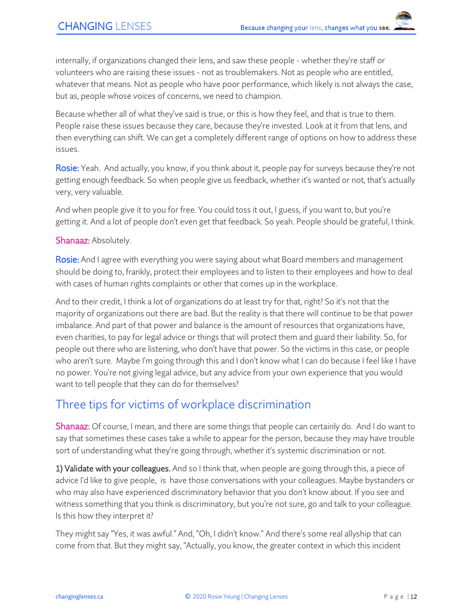internally, if organizations changed their lens, and saw these people - whether they're staff or volunteers who are raising these issues - not as troublemakers. Not as people who are entitled, whatever that means. Not as people who have poor performance, which likely is not always the case, but as, people whose voices of concerns, we need to champion.

Because whether all of what they've said is true, or this is how they feel, and that is true to them. People raise these issues because they care, because they're invested. Look at it from that lens, and then everything can shift. We can get a completely different range of options on how to address these issues.

Rosie: Yeah. And actually, you know, if you think about it, people pay for surveys because they're not getting enough feedback. So when people give us feedback, whether it's wanted or not, that's actually very, very valuable.

And when people give it to you for free. You could toss it out, I guess, if you want to, but you're getting it. And a lot of people don't even get that feedback. So yeah. People should be grateful, I think.

#### Shanaaz: Absolutely.

Rosie: And I agree with everything you were saying about what Board members and management should be doing to, frankly, protect their employees and to listen to their employees and how to deal with cases of human rights complaints or other that comes up in the workplace.

And to their credit, I think a lot of organizations do at least try for that, right? So it's not that the majority of organizations out there are bad. But the reality is that there will continue to be that power imbalance. And part of that power and balance is the amount of resources that organizations have, even charities, to pay for legal advice or things that will protect them and guard their liability. So, for people out there who are listening, who don't have that power. So the victims in this case, or people who aren't sure. Maybe I'm going through this and I don't know what I can do because I feel like I have no power. You're not giving legal advice, but any advice from your own experience that you would want to tell people that they can do for themselves?

### Three tips for victims of workplace discrimination

Shanaaz: Of course, I mean, and there are some things that people can certainly do. And I do want to say that sometimes these cases take a while to appear for the person, because they may have trouble sort of understanding what they're going through, whether it's systemic discrimination or not.

1) Validate with your colleagues. And so I think that, when people are going through this, a piece of advice I'd like to give people, is have those conversations with your colleagues. Maybe bystanders or who may also have experienced discriminatory behavior that you don't know about. If you see and witness something that you think is discriminatory, but you're not sure, go and talk to your colleague. Is this how they interpret it?

They might say "Yes, it was awful." And, "Oh, I didn't know." And there's some real allyship that can come from that. But they might say, "Actually, you know, the greater context in which this incident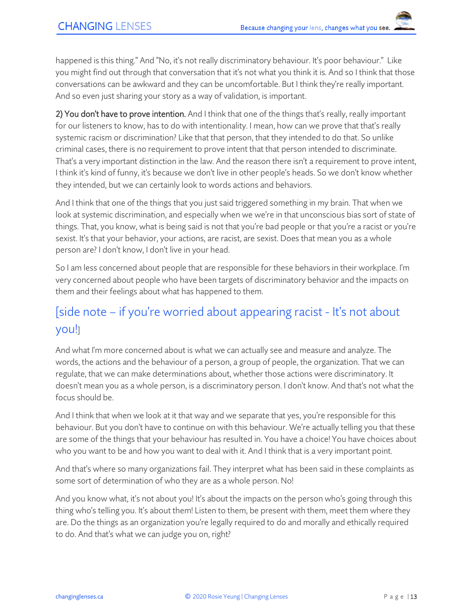happened is this thing." And "No, it's not really discriminatory behaviour. It's poor behaviour." Like you might find out through that conversation that it's not what you think it is. And so I think that those conversations can be awkward and they can be uncomfortable. But I think they're really important. And so even just sharing your story as a way of validation, is important.

2) You don't have to prove intention. And I think that one of the things that's really, really important for our listeners to know, has to do with intentionality. I mean, how can we prove that that's really systemic racism or discrimination? Like that that person, that they intended to do that. So unlike criminal cases, there is no requirement to prove intent that that person intended to discriminate. That's a very important distinction in the law. And the reason there isn't a requirement to prove intent, I think it's kind of funny, it's because we don't live in other people's heads. So we don't know whether they intended, but we can certainly look to words actions and behaviors.

And I think that one of the things that you just said triggered something in my brain. That when we look at systemic discrimination, and especially when we we're in that unconscious bias sort of state of things. That, you know, what is being said is not that you're bad people or that you're a racist or you're sexist. It's that your behavior, your actions, are racist, are sexist. Does that mean you as a whole person are? I don't know, I don't live in your head.

So I am less concerned about people that are responsible for these behaviors in their workplace. I'm very concerned about people who have been targets of discriminatory behavior and the impacts on them and their feelings about what has happened to them.

# [side note – if you're worried about appearing racist - It's not about you!]

And what I'm more concerned about is what we can actually see and measure and analyze. The words, the actions and the behaviour of a person, a group of people, the organization. That we can regulate, that we can make determinations about, whether those actions were discriminatory. It doesn't mean you as a whole person, is a discriminatory person. I don't know. And that's not what the focus should be.

And I think that when we look at it that way and we separate that yes, you're responsible for this behaviour. But you don't have to continue on with this behaviour. We're actually telling you that these are some of the things that your behaviour has resulted in. You have a choice! You have choices about who you want to be and how you want to deal with it. And I think that is a very important point.

And that's where so many organizations fail. They interpret what has been said in these complaints as some sort of determination of who they are as a whole person. No!

And you know what, it's not about you! It's about the impacts on the person who's going through this thing who's telling you. It's about them! Listen to them, be present with them, meet them where they are. Do the things as an organization you're legally required to do and morally and ethically required to do. And that's what we can judge you on, right?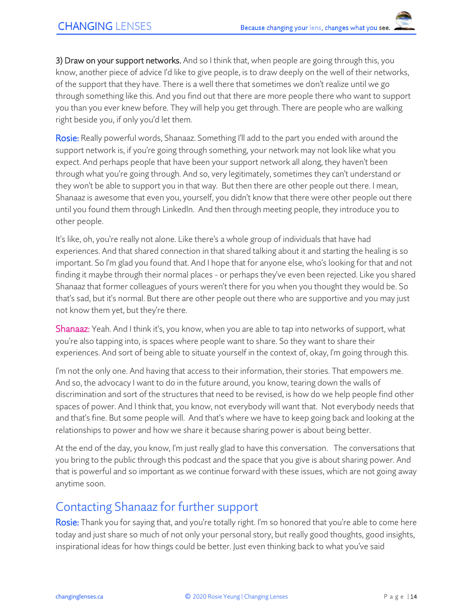3) Draw on your support networks. And so I think that, when people are going through this, you know, another piece of advice I'd like to give people, is to draw deeply on the well of their networks, of the support that they have. There is a well there that sometimes we don't realize until we go through something like this. And you find out that there are more people there who want to support you than you ever knew before. They will help you get through. There are people who are walking right beside you, if only you'd let them.

Rosie: Really powerful words, Shanaaz. Something I'll add to the part you ended with around the support network is, if you're going through something, your network may not look like what you expect. And perhaps people that have been your support network all along, they haven't been through what you're going through. And so, very legitimately, sometimes they can't understand or they won't be able to support you in that way. But then there are other people out there. I mean, Shanaaz is awesome that even you, yourself, you didn't know that there were other people out there until you found them through LinkedIn. And then through meeting people, they introduce you to other people.

It's like, oh, you're really not alone. Like there's a whole group of individuals that have had experiences. And that shared connection in that shared talking about it and starting the healing is so important. So I'm glad you found that. And I hope that for anyone else, who's looking for that and not finding it maybe through their normal places - or perhaps they've even been rejected. Like you shared Shanaaz that former colleagues of yours weren't there for you when you thought they would be. So that's sad, but it's normal. But there are other people out there who are supportive and you may just not know them yet, but they're there.

Shanaaz: Yeah. And I think it's, you know, when you are able to tap into networks of support, what you're also tapping into, is spaces where people want to share. So they want to share their experiences. And sort of being able to situate yourself in the context of, okay, I'm going through this.

I'm not the only one. And having that access to their information, their stories. That empowers me. And so, the advocacy I want to do in the future around, you know, tearing down the walls of discrimination and sort of the structures that need to be revised, is how do we help people find other spaces of power. And I think that, you know, not everybody will want that. Not everybody needs that and that's fine. But some people will. And that's where we have to keep going back and looking at the relationships to power and how we share it because sharing power is about being better.

At the end of the day, you know, I'm just really glad to have this conversation. The conversations that you bring to the public through this podcast and the space that you give is about sharing power. And that is powerful and so important as we continue forward with these issues, which are not going away anytime soon.

#### Contacting Shanaaz for further support

Rosie: Thank you for saying that, and you're totally right. I'm so honored that you're able to come here today and just share so much of not only your personal story, but really good thoughts, good insights, inspirational ideas for how things could be better. Just even thinking back to what you've said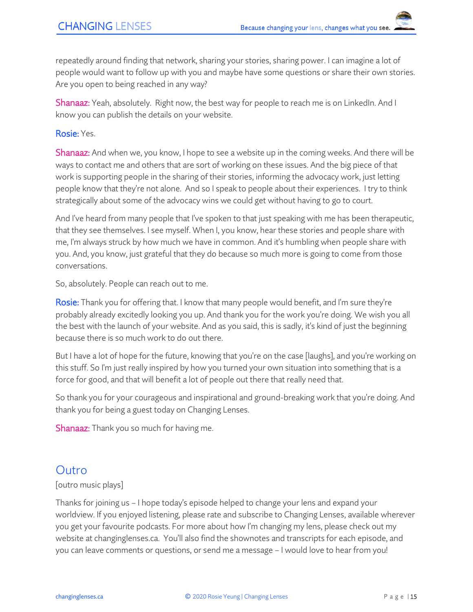repeatedly around finding that network, sharing your stories, sharing power. I can imagine a lot of people would want to follow up with you and maybe have some questions or share their own stories. Are you open to being reached in any way?

Shanaaz: Yeah, absolutely. Right now, the best way for people to reach me is on LinkedIn. And I know you can publish the details on your website.

Rosie: Yes.

Shanaaz: And when we, you know, I hope to see a website up in the coming weeks. And there will be ways to contact me and others that are sort of working on these issues. And the big piece of that work is supporting people in the sharing of their stories, informing the advocacy work, just letting people know that they're not alone. And so I speak to people about their experiences. I try to think strategically about some of the advocacy wins we could get without having to go to court.

And I've heard from many people that I've spoken to that just speaking with me has been therapeutic, that they see themselves. I see myself. When I, you know, hear these stories and people share with me, I'm always struck by how much we have in common. And it's humbling when people share with you. And, you know, just grateful that they do because so much more is going to come from those conversations.

So, absolutely. People can reach out to me.

Rosie: Thank you for offering that. I know that many people would benefit, and I'm sure they're probably already excitedly looking you up. And thank you for the work you're doing. We wish you all the best with the launch of your website. And as you said, this is sadly, it's kind of just the beginning because there is so much work to do out there.

But I have a lot of hope for the future, knowing that you're on the case [laughs], and you're working on this stuff. So I'm just really inspired by how you turned your own situation into something that is a force for good, and that will benefit a lot of people out there that really need that.

So thank you for your courageous and inspirational and ground-breaking work that you're doing. And thank you for being a guest today on Changing Lenses.

**Shanaaz:** Thank you so much for having me.

#### Outro

#### [outro music plays]

Thanks for joining us – I hope today's episode helped to change your lens and expand your worldview. If you enjoyed listening, please rate and subscribe to Changing Lenses, available wherever you get your favourite podcasts. For more about how I'm changing my lens, please check out my website at changinglenses.ca. You'll also find the shownotes and transcripts for each episode, and you can leave comments or questions, or send me a message – I would love to hear from you!